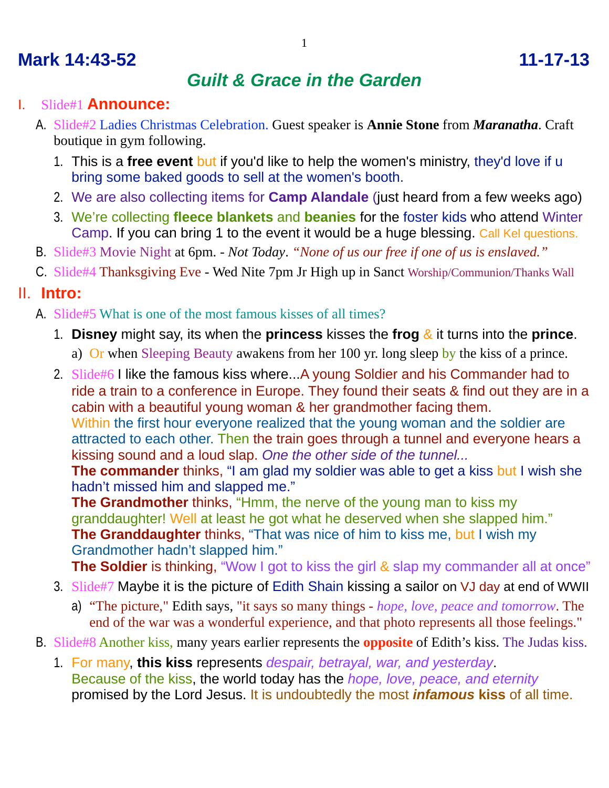# **Mark 14:43-52 11-17-13**

## *Guilt & Grace in the Garden*

#### I. Slide#1 **Announce:**

- A. Slide#2 Ladies Christmas Celebration. Guest speaker is **Annie Stone** from *Maranatha*. Craft boutique in gym following.
	- 1. This is a **free event** but if you'd like to help the women's ministry, they'd love if u bring some baked goods to sell at the women's booth.
	- 2. We are also collecting items for **Camp Alandale** (just heard from a few weeks ago)
	- 3. We're collecting **fleece blankets** and **beanies** for the foster kids who attend Winter Camp. If you can bring 1 to the event it would be a huge blessing. Call Kel questions.
- B. Slide#3 Movie Night at 6pm. *Not Today*. *"None of us our free if one of us is enslaved."*
- C. Slide#4 Thanksgiving Eve Wed Nite 7pm Jr High up in Sanct Worship/Communion/Thanks Wall

#### II. **Intro:**

- A. Slide#5 What is one of the most famous kisses of all times?
	- 1. **Disney** might say, its when the **princess** kisses the **frog** & it turns into the **prince**.
		- a) Or when Sleeping Beauty awakens from her 100 yr. long sleep by the kiss of a prince.
	- 2. Slide#6 I like the famous kiss where...A young Soldier and his Commander had to ride a train to a conference in Europe. They found their seats & find out they are in a cabin with a beautiful young woman & her grandmother facing them. Within the first hour everyone realized that the young woman and the soldier are attracted to each other. Then the train goes through a tunnel and everyone hears a kissing sound and a loud slap. *One the other side of the tunnel...* **The commander** thinks, "I am glad my soldier was able to get a kiss but I wish she hadn't missed him and slapped me."

**The Grandmother** thinks, "Hmm, the nerve of the young man to kiss my granddaughter! Well at least he got what he deserved when she slapped him." **The Granddaughter** thinks, "That was nice of him to kiss me, but I wish my Grandmother hadn't slapped him."

**The Soldier** is thinking, "Wow I got to kiss the girl & slap my commander all at once"

- 3. Slide#7 Maybe it is the picture of Edith Shain kissing a sailor on VJ day at end of WWII
	- a) "The picture," Edith says, "it says so many things *hope, love, peace and tomorrow*. The end of the war was a wonderful experience, and that photo represents all those feelings."
- B. Slide#8 Another kiss, many years earlier represents the **opposite** of Edith's kiss. The Judas kiss.
	- 1. For many, **this kiss** represents *despair, betrayal, war, and yesterday*. Because of the kiss, the world today has the *hope, love, peace, and eternity* promised by the Lord Jesus. It is undoubtedly the most *infamous* **kiss** of all time.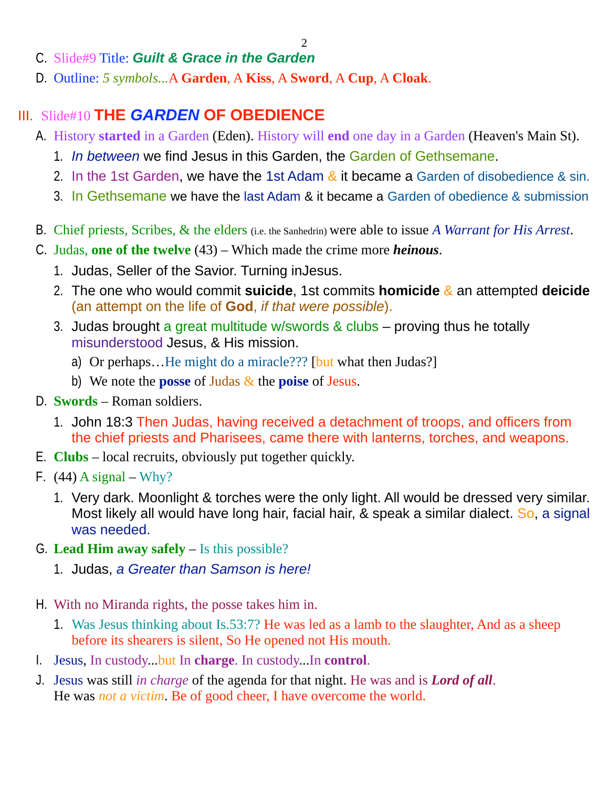2

- C. Slide#9 Title: *Guilt & Grace in the Garden*
- D. Outline: *5 symbols...*A **Garden**, A **Kiss**, A **Sword**, A **Cup**, A **Cloak**.

### III. Slide#10 **THE** *GARDEN* **OF OBEDIENCE**

- A. History **started** in a Garden (Eden). History will **end** one day in a Garden (Heaven's Main St).
	- 1. *In between* we find Jesus in this Garden, the Garden of Gethsemane.
	- 2. In the 1st Garden, we have the 1st Adam  $\&$  it became a Garden of disobedience  $\&$  sin.
	- 3. In Gethsemane we have the last Adam & it became a Garden of obedience & submission
- B. Chief priests, Scribes, & the elders (i.e. the Sanhedrin) were able to issue *A Warrant for His Arrest*.
- C. Judas, **one of the twelve** (43) Which made the crime more *heinous*.
	- 1. Judas, Seller of the Savior. Turning inJesus.
	- 2. The one who would commit **suicide**, 1st commits **homicide** & an attempted **deicide** (an attempt on the life of **God**, *if that were possible*).
	- 3. Judas brought a great multitude w/swords & clubs proving thus he totally misunderstood Jesus, & His mission.
		- a) Or perhaps...He might do a miracle??? [but what then Judas?]
		- b) We note the **posse** of Judas & the **poise** of Jesus.
- D. **Swords** Roman soldiers.
	- 1. John 18:3 Then Judas, having received a detachment of troops, and officers from the chief priests and Pharisees, came there with lanterns, torches, and weapons.
- E. **Clubs** local recruits, obviously put together quickly.
- F.  $(44)$  A signal Why?
	- 1. Very dark. Moonlight & torches were the only light. All would be dressed very similar. Most likely all would have long hair, facial hair, & speak a similar dialect. So, a signal was needed.
- G. **Lead Him away safely** Is this possible?
	- 1. Judas, *a Greater than Samson is here!*
- H. With no Miranda rights, the posse takes him in.
	- 1. Was Jesus thinking about Is.53:7? He was led as a lamb to the slaughter, And as a sheep before its shearers is silent, So He opened not His mouth.
- I. Jesus, In custody...but In **charge**. In custody...In **control**.
- J. Jesus was still *in charge* of the agenda for that night. He was and is *Lord of all*. He was *not a victim*. Be of good cheer, I have overcome the world.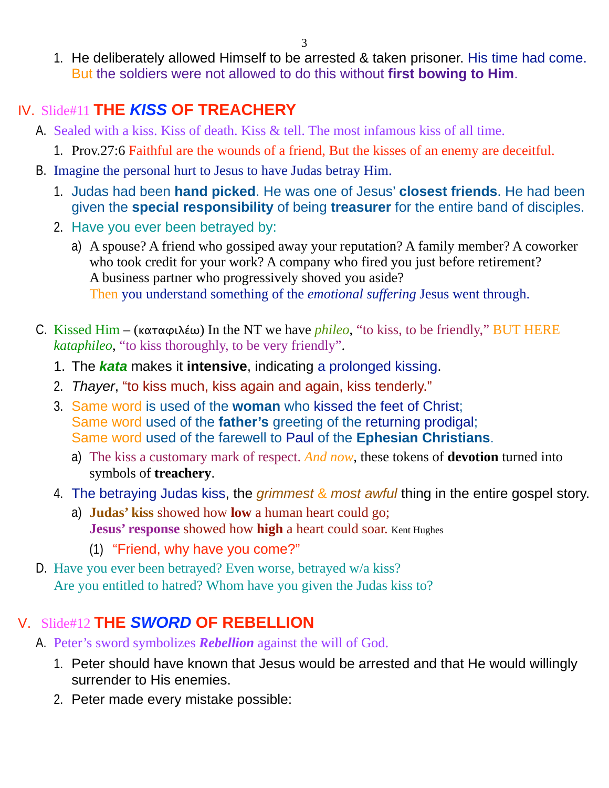3

1. He deliberately allowed Himself to be arrested & taken prisoner. His time had come. But the soldiers were not allowed to do this without **first bowing to Him**.

## IV. Slide#11 **THE** *KISS* **OF TREACHERY**

- A. Sealed with a kiss. Kiss of death. Kiss & tell. The most infamous kiss of all time.
	- 1. Prov.27:6 Faithful are the wounds of a friend, But the kisses of an enemy are deceitful.
- B. Imagine the personal hurt to Jesus to have Judas betray Him.
	- 1. Judas had been **hand picked**. He was one of Jesus' **closest friends**. He had been given the **special responsibility** of being **treasurer** for the entire band of disciples.
	- 2. Have you ever been betrayed by:
		- a) A spouse? A friend who gossiped away your reputation? A family member? A coworker who took credit for your work? A company who fired you just before retirement? A business partner who progressively shoved you aside? Then you understand something of the *emotional suffering* Jesus went through.
- C. Kissed Him (καταφιλέω) In the NT we have *phileo*, "to kiss, to be friendly," BUT HERE *kataphileo*, "to kiss thoroughly, to be very friendly".
	- 1. The *kata* makes it **intensive**, indicating a prolonged kissing.
	- 2. *Thayer*, "to kiss much, kiss again and again, kiss tenderly."
	- 3. Same word is used of the **woman** who kissed the feet of Christ; Same word used of the **father's** greeting of the returning prodigal; Same word used of the farewell to Paul of the **Ephesian Christians**.
		- a) The kiss a customary mark of respect. *And now*, these tokens of **devotion** turned into symbols of **treachery**.
	- 4. The betraying Judas kiss, the *grimmest* & *most awful* thing in the entire gospel story.
		- a) **Judas' kiss** showed how **low** a human heart could go; **Jesus' response** showed how **high** a heart could soar. Kent Hughes
			- (1) "Friend, why have you come?"
- D. Have you ever been betrayed? Even worse, betrayed w/a kiss? Are you entitled to hatred? Whom have you given the Judas kiss to?

# V. Slide#12 **THE** *SWORD* **OF REBELLION**

- A. Peter's sword symbolizes *Rebellion* against the will of God.
	- 1. Peter should have known that Jesus would be arrested and that He would willingly surrender to His enemies.
	- 2. Peter made every mistake possible: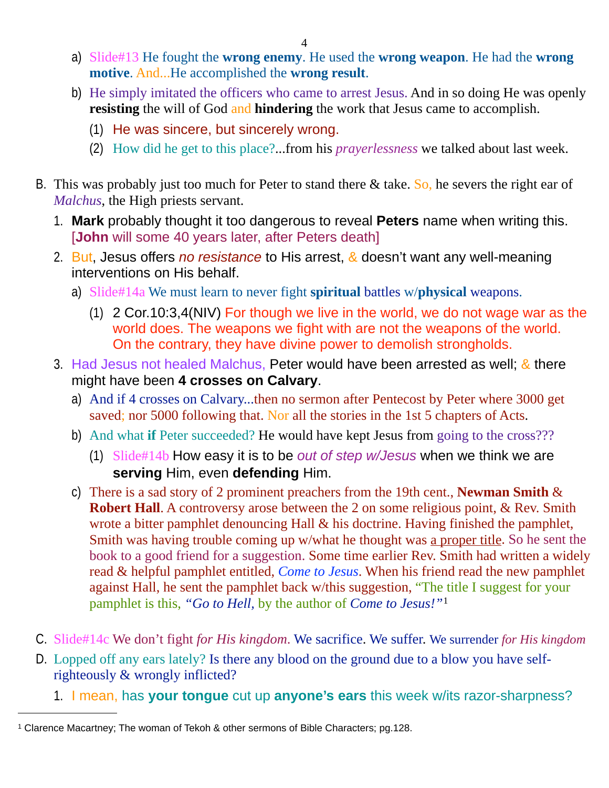- a) Slide#13 He fought the **wrong enemy**. He used the **wrong weapon**. He had the **wrong motive**. And...He accomplished the **wrong result**.
- b) He simply imitated the officers who came to arrest Jesus. And in so doing He was openly **resisting** the will of God and **hindering** the work that Jesus came to accomplish.
	- (1) He was sincere, but sincerely wrong.
	- (2) How did he get to this place?...from his *prayerlessness* we talked about last week.
- B. This was probably just too much for Peter to stand there  $\&$  take. So, he severs the right ear of *Malchus*, the High priests servant.
	- 1. **Mark** probably thought it too dangerous to reveal **Peters** name when writing this. [John will some 40 years later, after Peters death]
	- 2. But, Jesus offers *no resistance* to His arrest, & doesn't want any well-meaning interventions on His behalf.
		- a) Slide#14a We must learn to never fight **spiritual** battles w/**physical** weapons.
			- (1) 2 Cor.10:3,4(NIV) For though we live in the world, we do not wage war as the world does. The weapons we fight with are not the weapons of the world. On the contrary, they have divine power to demolish strongholds.
	- 3. Had Jesus not healed Malchus, Peter would have been arrested as well; & there might have been **4 crosses on Calvary**.
		- a) And if 4 crosses on Calvary...then no sermon after Pentecost by Peter where 3000 get saved; nor 5000 following that. Nor all the stories in the 1st 5 chapters of Acts.
		- b) And what **if** Peter succeeded? He would have kept Jesus from going to the cross???
			- (1) Slide#14b How easy it is to be *out of step w/Jesus* when we think we are **serving** Him, even **defending** Him.
		- c) There is a sad story of 2 prominent preachers from the 19th cent., **Newman Smith** & **Robert Hall.** A controversy arose between the 2 on some religious point, & Rev. Smith wrote a bitter pamphlet denouncing Hall & his doctrine. Having finished the pamphlet, Smith was having trouble coming up w/what he thought was a proper title. So he sent the book to a good friend for a suggestion. Some time earlier Rev. Smith had written a widely read & helpful pamphlet entitled, *Come to Jesus*. When his friend read the new pamphlet against Hall, he sent the pamphlet back w/this suggestion, "The title I suggest for your pamphlet is this, *"Go to Hell,* by the author of *Come to Jesus!"*[1](#page-3-0)
- C. Slide#14c We don't fight *for His kingdom*. We sacrifice. We suffer. We surrender *for His kingdom*
- D. Lopped off any ears lately? Is there any blood on the ground due to a blow you have selfrighteously & wrongly inflicted?
	- 1. I mean, has **your tongue** cut up **anyone's ears** this week w/its razor-sharpness?

<span id="page-3-0"></span><sup>1</sup> Clarence Macartney; The woman of Tekoh & other sermons of Bible Characters; pg.128.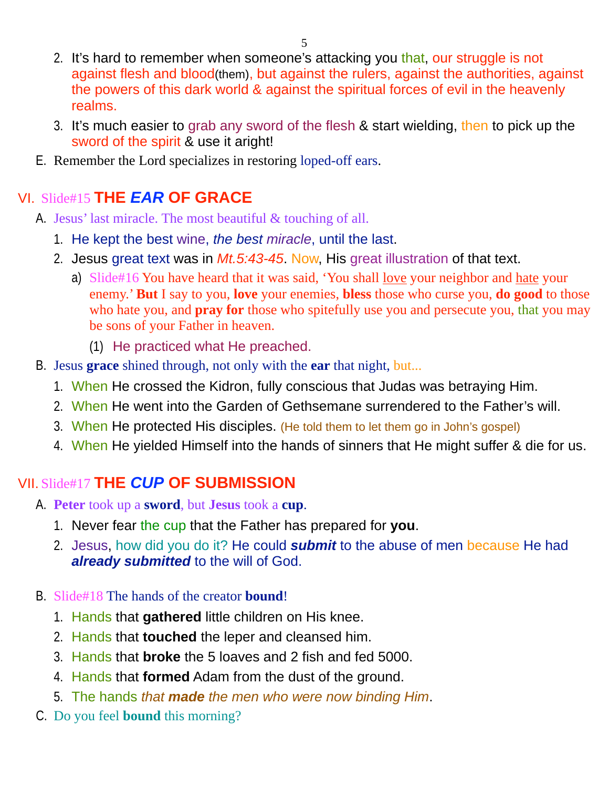- 2. It's hard to remember when someone's attacking you that, our struggle is not against flesh and blood(them), but against the rulers, against the authorities, against the powers of this dark world & against the spiritual forces of evil in the heavenly realms.
- 3. It's much easier to grab any sword of the flesh & start wielding, then to pick up the sword of the spirit & use it aright!
- E. Remember the Lord specializes in restoring loped-off ears.

### VI. Slide#15 **THE** *EAR* **OF GRACE**

- A. Jesus' last miracle. The most beautiful & touching of all.
	- 1. He kept the best wine, *the best miracle*, until the last.
	- 2. Jesus great text was in *Mt.5:43-45*. Now, His great illustration of that text.
		- a) Slide#16 You have heard that it was said, 'You shall <u>love</u> your neighbor and hate your enemy.' **But** I say to you, **love** your enemies, **bless** those who curse you, **do good** to those who hate you, and **pray for** those who spitefully use you and persecute you, that you may be sons of your Father in heaven.
			- (1) He practiced what He preached.
- B. Jesus **grace** shined through, not only with the **ear** that night, but...
	- 1. When He crossed the Kidron, fully conscious that Judas was betraying Him.
	- 2. When He went into the Garden of Gethsemane surrendered to the Father's will.
	- 3. When He protected His disciples. (He told them to let them go in John's gospel)
	- 4. When He yielded Himself into the hands of sinners that He might suffer & die for us.

### VII. Slide#17 **THE** *CUP* **OF SUBMISSION**

- A. **Peter** took up a **sword**, but **Jesus** took a **cup**.
	- 1. Never fear the cup that the Father has prepared for **you**.
	- 2. Jesus, how did you do it? He could *submit* to the abuse of men because He had *already submitted* to the will of God.

#### B. Slide#18 The hands of the creator **bound**!

- 1. Hands that **gathered** little children on His knee.
- 2. Hands that **touched** the leper and cleansed him.
- 3. Hands that **broke** the 5 loaves and 2 fish and fed 5000.
- 4. Hands that **formed** Adam from the dust of the ground.
- 5. The hands *that made the men who were now binding Him*.
- C. Do you feel **bound** this morning?